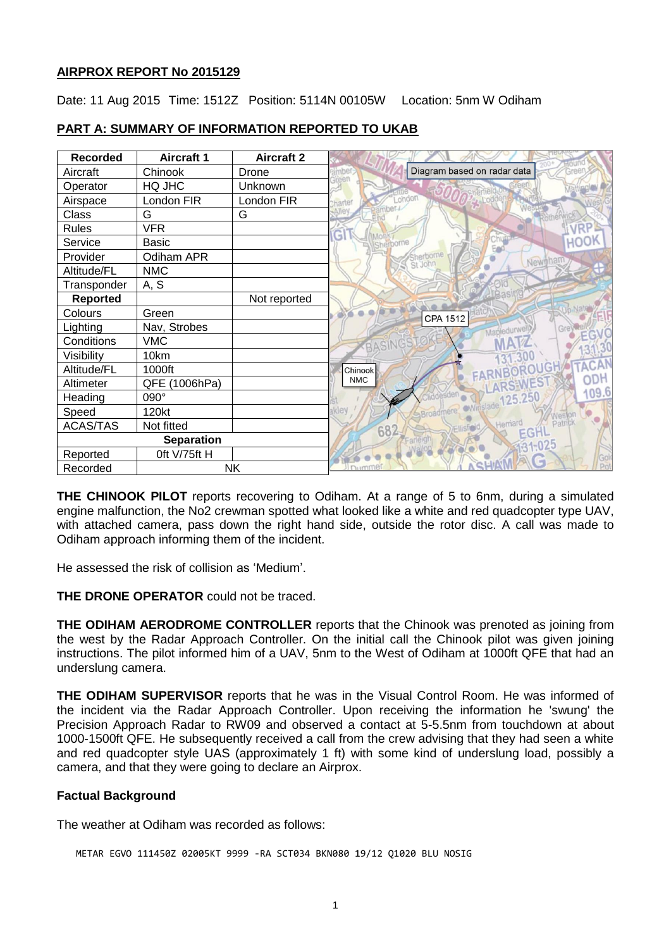## **AIRPROX REPORT No 2015129**

Date: 11 Aug 2015 Time: 1512Z Position: 5114N 00105W Location: 5nm W Odiham

| <b>Recorded</b>   | <b>Aircraft 1</b> | <b>Aircraft 2</b> |                                    |
|-------------------|-------------------|-------------------|------------------------------------|
| Aircraft          | Chinook           | Drone             | Diagram based on radar data        |
| Operator          | HQ JHC            | Unknown           |                                    |
| Airspace          | London FIR        | London FIR        | ondon<br><sub>arte</sub>           |
| Class             | G                 | G                 |                                    |
| <b>Rules</b>      | <b>VFR</b>        |                   |                                    |
| Service           | <b>Basic</b>      |                   | H.<br><b>HOOK</b><br>Sherborne     |
| Provider          | Odiham APR        |                   | terborne<br>Newmham                |
| Altitude/FL       | <b>NMC</b>        |                   | St John                            |
| Transponder       | A, S              |                   |                                    |
| <b>Reported</b>   |                   | Not reported      |                                    |
| Colours           | Green             |                   | CPA 1512                           |
| Lighting          | Nav, Strobes      |                   | Mapledurwe<br>Gre                  |
| Conditions        | <b>VMC</b>        |                   |                                    |
| Visibility        | 10km              |                   |                                    |
| Altitude/FL       | 1000ft            |                   | <b>FARNBOROUGH</b><br>Chinook      |
| Altimeter         | QFE (1006hPa)     |                   | <b>NMC</b>                         |
| Heading           | 090°              |                   | ewinslade 125.25L                  |
| Speed             | 120kt             |                   | Broadn                             |
| <b>ACAS/TAS</b>   | Not fitted        |                   | Patrici<br>Herriard<br>682<br>EGHL |
| <b>Separation</b> |                   |                   |                                    |
| Reported          | Oft V/75ft H      |                   | <b>IN</b>                          |
| Recorded          |                   | <b>NK</b>         | Dummer                             |

# **PART A: SUMMARY OF INFORMATION REPORTED TO UKAB**

**THE CHINOOK PILOT** reports recovering to Odiham. At a range of 5 to 6nm, during a simulated engine malfunction, the No2 crewman spotted what looked like a white and red quadcopter type UAV, with attached camera, pass down the right hand side, outside the rotor disc. A call was made to Odiham approach informing them of the incident.

He assessed the risk of collision as 'Medium'.

**THE DRONE OPERATOR** could not be traced.

**THE ODIHAM AERODROME CONTROLLER** reports that the Chinook was prenoted as joining from the west by the Radar Approach Controller. On the initial call the Chinook pilot was given joining instructions. The pilot informed him of a UAV, 5nm to the West of Odiham at 1000ft QFE that had an underslung camera.

**THE ODIHAM SUPERVISOR** reports that he was in the Visual Control Room. He was informed of the incident via the Radar Approach Controller. Upon receiving the information he 'swung' the Precision Approach Radar to RW09 and observed a contact at 5-5.5nm from touchdown at about 1000-1500ft QFE. He subsequently received a call from the crew advising that they had seen a white and red quadcopter style UAS (approximately 1 ft) with some kind of underslung load, possibly a camera, and that they were going to declare an Airprox.

## **Factual Background**

The weather at Odiham was recorded as follows:

METAR EGVO 111450Z 02005KT 9999 -RA SCT034 BKN080 19/12 Q1020 BLU NOSIG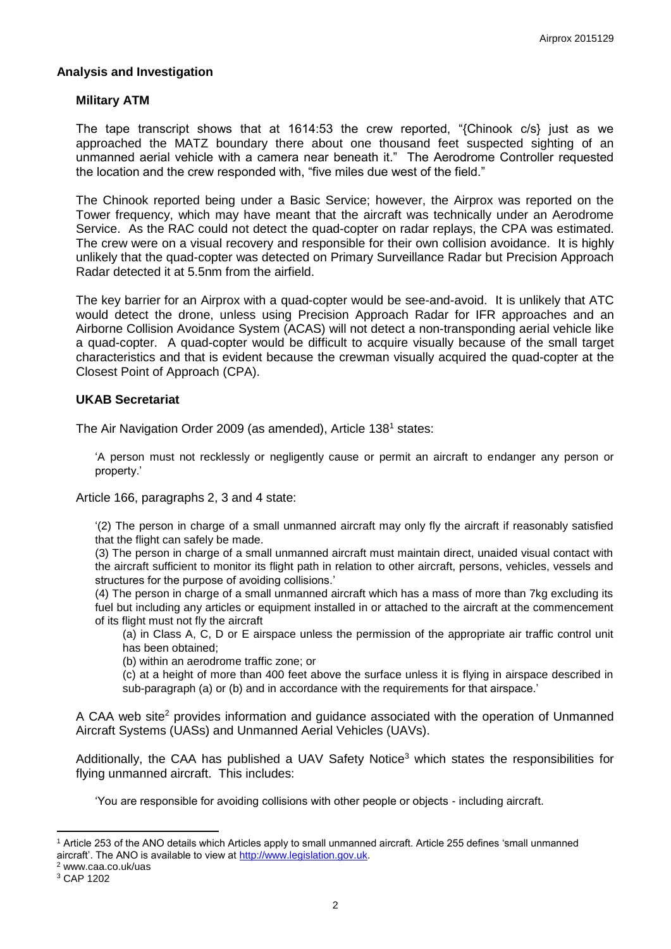#### **Analysis and Investigation**

### **Military ATM**

The tape transcript shows that at 1614:53 the crew reported, "{Chinook c/s} just as we approached the MATZ boundary there about one thousand feet suspected sighting of an unmanned aerial vehicle with a camera near beneath it." The Aerodrome Controller requested the location and the crew responded with, "five miles due west of the field."

The Chinook reported being under a Basic Service; however, the Airprox was reported on the Tower frequency, which may have meant that the aircraft was technically under an Aerodrome Service. As the RAC could not detect the quad-copter on radar replays, the CPA was estimated. The crew were on a visual recovery and responsible for their own collision avoidance. It is highly unlikely that the quad-copter was detected on Primary Surveillance Radar but Precision Approach Radar detected it at 5.5nm from the airfield.

The key barrier for an Airprox with a quad-copter would be see-and-avoid. It is unlikely that ATC would detect the drone, unless using Precision Approach Radar for IFR approaches and an Airborne Collision Avoidance System (ACAS) will not detect a non-transponding aerial vehicle like a quad-copter. A quad-copter would be difficult to acquire visually because of the small target characteristics and that is evident because the crewman visually acquired the quad-copter at the Closest Point of Approach (CPA).

#### **UKAB Secretariat**

The Air Navigation Order 2009 (as amended), Article 138<sup>1</sup> states:

'A person must not recklessly or negligently cause or permit an aircraft to endanger any person or property.'

Article 166, paragraphs 2, 3 and 4 state:

'(2) The person in charge of a small unmanned aircraft may only fly the aircraft if reasonably satisfied that the flight can safely be made.

(3) The person in charge of a small unmanned aircraft must maintain direct, unaided visual contact with the aircraft sufficient to monitor its flight path in relation to other aircraft, persons, vehicles, vessels and structures for the purpose of avoiding collisions.'

(4) The person in charge of a small unmanned aircraft which has a mass of more than 7kg excluding its fuel but including any articles or equipment installed in or attached to the aircraft at the commencement of its flight must not fly the aircraft

(a) in Class A, C, D or E airspace unless the permission of the appropriate air traffic control unit has been obtained;

(b) within an aerodrome traffic zone; or

(c) at a height of more than 400 feet above the surface unless it is flying in airspace described in sub-paragraph (a) or (b) and in accordance with the requirements for that airspace.'

A CAA web site<sup>2</sup> provides information and guidance associated with the operation of Unmanned Aircraft Systems (UASs) and Unmanned Aerial Vehicles (UAVs).

Additionally, the CAA has published a UAV Safety Notice<sup>3</sup> which states the responsibilities for flying unmanned aircraft. This includes:

'You are responsible for avoiding collisions with other people or objects - including aircraft.

 $\overline{a}$ 

<sup>1</sup> Article 253 of the ANO details which Articles apply to small unmanned aircraft. Article 255 defines 'small unmanned aircraft'. The ANO is available to view at [http://www.legislation.gov.uk.](http://www.legislation.gov.uk/)

<sup>2</sup> www.caa.co.uk/uas

<sup>3</sup> CAP 1202